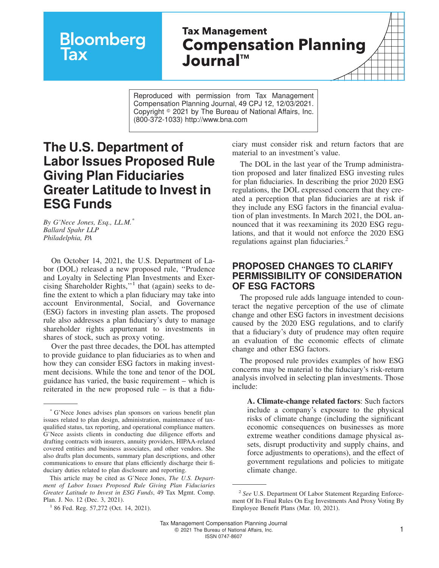# **Bloomberg**

# **Tax Management Compensation Planning JournalTM**

Reproduced with permission from Tax Management Compensation Planning Journal, 49 CPJ 12, 12/03/2021. Copyright  $\degree$  2021 by The Bureau of National Affairs, Inc. (800-372-1033) http://www.bna.com

# **The U.S. Department of Labor Issues Proposed Rule Giving Plan Fiduciaries Greater Latitude to Invest in ESG Funds**

*By G'Nece Jones, Esq., LL.M.\* Ballard Spahr LLP Philadelphia, PA*

On October 14, 2021, the U.S. Department of Labor (DOL) released a new proposed rule, ''Prudence and Loyalty in Selecting Plan Investments and Exercising Shareholder Rights,"<sup>1</sup> that (again) seeks to define the extent to which a plan fiduciary may take into account Environmental, Social, and Governance (ESG) factors in investing plan assets. The proposed rule also addresses a plan fiduciary's duty to manage shareholder rights appurtenant to investments in shares of stock, such as proxy voting.

Over the past three decades, the DOL has attempted to provide guidance to plan fiduciaries as to when and how they can consider ESG factors in making investment decisions. While the tone and tenor of the DOL guidance has varied, the basic requirement – which is reiterated in the new proposed rule – is that a fiduciary must consider risk and return factors that are material to an investment's value.

The DOL in the last year of the Trump administration proposed and later finalized ESG investing rules for plan fiduciaries. In describing the prior 2020 ESG regulations, the DOL expressed concern that they created a perception that plan fiduciaries are at risk if they include any ESG factors in the financial evaluation of plan investments. In March 2021, the DOL announced that it was reexamining its 2020 ESG regulations, and that it would not enforce the 2020 ESG regulations against plan fiduciaries. $<sup>2</sup>$ </sup>

#### **PROPOSED CHANGES TO CLARIFY PERMISSIBILITY OF CONSIDERATION OF ESG FACTORS**

The proposed rule adds language intended to counteract the negative perception of the use of climate change and other ESG factors in investment decisions caused by the 2020 ESG regulations, and to clarify that a fiduciary's duty of prudence may often require an evaluation of the economic effects of climate change and other ESG factors.

The proposed rule provides examples of how ESG concerns may be material to the fiduciary's risk-return analysis involved in selecting plan investments. Those include:

**A. Climate-change related factors**: Such factors include a company's exposure to the physical risks of climate change (including the significant economic consequences on businesses as more extreme weather conditions damage physical assets, disrupt productivity and supply chains, and force adjustments to operations), and the effect of government regulations and policies to mitigate climate change.

<sup>\*</sup> G'Nece Jones advises plan sponsors on various benefit plan issues related to plan design, administration, maintenance of taxqualified status, tax reporting, and operational compliance matters. G'Nece assists clients in conducting due diligence efforts and drafting contracts with insurers, annuity providers, HIPAA-related covered entities and business associates, and other vendors. She also drafts plan documents, summary plan descriptions, and other communications to ensure that plans efficiently discharge their fiduciary duties related to plan disclosure and reporting.

This article may be cited as G'Nece Jones, *The U.S. Department of Labor Issues Proposed Rule Giving Plan Fiduciaries Greater Latitude to Invest in ESG Funds*, 49 Tax Mgmt. Comp. Plan. J. No. 12 (Dec. 3, 2021).

<sup>&</sup>lt;sup>1</sup> 86 Fed. Reg. 57,272 (Oct. 14, 2021).

<sup>2</sup> *See* [U.S. Department Of Labor Statement Regarding Enforce](https://aboutbtax.com/0I9)[ment Of Its Final Rules On Esg Investments And Proxy Voting By](https://aboutbtax.com/0I9) [Employee Benefit Plans](https://aboutbtax.com/0I9) (Mar. 10, 2021).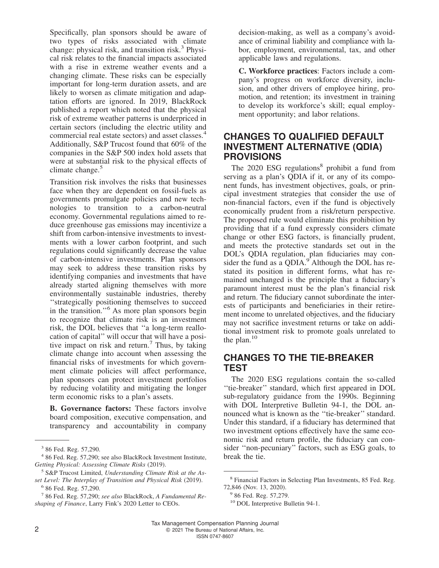Specifically, plan sponsors should be aware of two types of risks associated with climate change: physical risk, and transition risk.<sup>3</sup> Physical risk relates to the financial impacts associated with a rise in extreme weather events and a changing climate. These risks can be especially important for long-term duration assets, and are likely to worsen as climate mitigation and adaptation efforts are ignored. In 2019, BlackRock published a report which noted that the physical risk of extreme weather patterns is underpriced in certain sectors (including the electric utility and commercial real estate sectors) and asset classes.<sup>4</sup> Additionally, S&P Trucost found that 60% of the companies in the S&P 500 index hold assets that were at substantial risk to the physical effects of climate change.<sup>5</sup>

Transition risk involves the risks that businesses face when they are dependent on fossil-fuels as governments promulgate policies and new technologies to transition to a carbon-neutral economy. Governmental regulations aimed to reduce greenhouse gas emissions may incentivize a shift from carbon-intensive investments to investments with a lower carbon footprint, and such regulations could significantly decrease the value of carbon-intensive investments. Plan sponsors may seek to address these transition risks by identifying companies and investments that have already started aligning themselves with more environmentally sustainable industries, thereby ''strategically positioning themselves to succeed in the transition.''<sup>6</sup> As more plan sponsors begin to recognize that climate risk is an investment risk, the DOL believes that ''a long-term reallocation of capital'' will occur that will have a positive impact on risk and return.<sup>7</sup> Thus, by taking climate change into account when assessing the financial risks of investments for which government climate policies will affect performance, plan sponsors can protect investment portfolios by reducing volatility and mitigating the longer term economic risks to a plan's assets.

**B. Governance factors:** These factors involve board composition, executive compensation, and transparency and accountability in company

decision-making, as well as a company's avoidance of criminal liability and compliance with labor, employment, environmental, tax, and other applicable laws and regulations.

**C. Workforce practices**: Factors include a company's progress on workforce diversity, inclusion, and other drivers of employee hiring, promotion, and retention; its investment in training to develop its workforce's skill; equal employment opportunity; and labor relations.

### **CHANGES TO QUALIFIED DEFAULT INVESTMENT ALTERNATIVE (QDIA) PROVISIONS**

The 2020 ESG regulations<sup>8</sup> prohibit a fund from serving as a plan's QDIA if it, or any of its component funds, has investment objectives, goals, or principal investment strategies that consider the use of non-financial factors, even if the fund is objectively economically prudent from a risk/return perspective. The proposed rule would eliminate this prohibition by providing that if a fund expressly considers climate change or other ESG factors, is financially prudent, and meets the protective standards set out in the DOL's QDIA regulation, plan fiduciaries may consider the fund as a QDIA. $9^{\circ}$ Although the DOL has restated its position in different forms, what has remained unchanged is the principle that a fiduciary's paramount interest must be the plan's financial risk and return. The fiduciary cannot subordinate the interests of participants and beneficiaries in their retirement income to unrelated objectives, and the fiduciary may not sacrifice investment returns or take on additional investment risk to promote goals unrelated to the plan. $10$ 

## **CHANGES TO THE TIE-BREAKER TEST**

The 2020 ESG regulations contain the so-called ''tie-breaker'' standard, which first appeared in DOL sub-regulatory guidance from the 1990s. Beginning with DOL Interpretive Bulletin 94-1, the DOL announced what is known as the ''tie-breaker'' standard. Under this standard, if a fiduciary has determined that two investment options effectively have the same economic risk and return profile, the fiduciary can consider ''non-pecuniary'' factors, such as ESG goals, to break the tie.

<sup>3</sup> 86 Fed. Reg. 57,290.

<sup>4</sup> 86 Fed. Reg. 57,290; see also BlackRock Investment Institute, *[Getting Physical: Assessing Climate Risks](https://www.blackrock.com/us/individual/insights/blackrock-investment-institute/physical-climate-risks)* (2019).

<sup>5</sup> S&P Trucost Limited, *Understanding Climate Risk at the Asset Level: The Interplay of Transition and Physical Risk* (2019).

<sup>6</sup> 86 Fed. Reg. 57,290.

<sup>7</sup> 86 Fed. Reg. 57,290; *see also* BlackRock, *[A Fundamental Re](https://www.blackrock.com/us/individual/larry-fink-ceo-letter)[shaping of Finance](https://www.blackrock.com/us/individual/larry-fink-ceo-letter)*, Larry Fink's 2020 Letter to CEOs.

<sup>8</sup> Financial Factors in Selecting Plan Investments, 85 Fed. Reg. 72,846 (Nov. 13, 2020).

<sup>&</sup>lt;sup>9</sup> 86 Fed. Reg. 57,279.

<sup>&</sup>lt;sup>10</sup> DOL Interpretive Bulletin 94-1.

Tax Management Compensation Planning Journal 2 **2** 2021 The Bureau of National Affairs, Inc. ISSN 0747-8607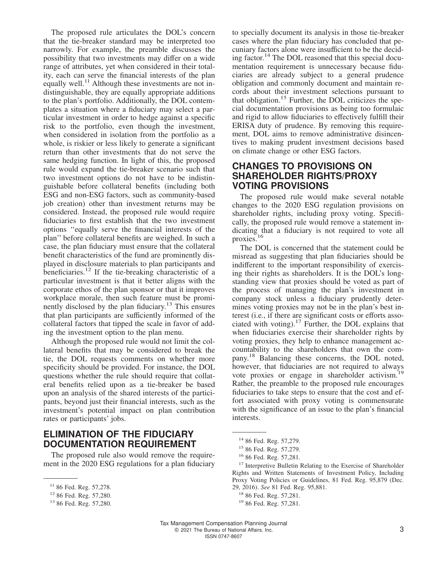The proposed rule articulates the DOL's concern that the tie-breaker standard may be interpreted too narrowly. For example, the preamble discusses the possibility that two investments may differ on a wide range of attributes, yet when considered in their totality, each can serve the financial interests of the plan equally well.<sup>11</sup> Although these investments are not indistinguishable, they are equally appropriate additions to the plan's portfolio. Additionally, the DOL contemplates a situation where a fiduciary may select a particular investment in order to hedge against a specific risk to the portfolio, even though the investment, when considered in isolation from the portfolio as a whole, is riskier or less likely to generate a significant return than other investments that do not serve the same hedging function. In light of this, the proposed rule would expand the tie-breaker scenario such that two investment options do not have to be indistinguishable before collateral benefits (including both ESG and non-ESG factors, such as community-based job creation) other than investment returns may be considered. Instead, the proposed rule would require fiduciaries to first establish that the two investment options ''equally serve the financial interests of the plan'' before collateral benefits are weighed. In such a case, the plan fiduciary must ensure that the collateral benefit characteristics of the fund are prominently displayed in disclosure materials to plan participants and beneficiaries.<sup>12</sup> If the tie-breaking characteristic of a particular investment is that it better aligns with the corporate ethos of the plan sponsor or that it improves workplace morale, then such feature must be prominently disclosed by the plan fiduciary.<sup>13</sup> This ensures that plan participants are sufficiently informed of the collateral factors that tipped the scale in favor of adding the investment option to the plan menu.

Although the proposed rule would not limit the collateral benefits that may be considered to break the tie, the DOL requests comments on whether more specificity should be provided. For instance, the DOL questions whether the rule should require that collateral benefits relied upon as a tie-breaker be based upon an analysis of the shared interests of the participants, beyond just their financial interests, such as the investment's potential impact on plan contribution rates or participants' jobs.

### **ELIMINATION OF THE FIDUCIARY DOCUMENTATION REQUIREMENT**

The proposed rule also would remove the requirement in the 2020 ESG regulations for a plan fiduciary to specially document its analysis in those tie-breaker cases where the plan fiduciary has concluded that pecuniary factors alone were insufficient to be the deciding factor.<sup>14</sup> The DOL reasoned that this special documentation requirement is unnecessary because fiduciaries are already subject to a general prudence obligation and commonly document and maintain records about their investment selections pursuant to that obligation.<sup>15</sup> Further, the DOL criticizes the special documentation provisions as being too formulaic and rigid to allow fiduciaries to effectively fulfill their ERISA duty of prudence. By removing this requirement, DOL aims to remove administrative disincentives to making prudent investment decisions based on climate change or other ESG factors.

#### **CHANGES TO PROVISIONS ON SHAREHOLDER RIGHTS/PROXY VOTING PROVISIONS**

The proposed rule would make several notable changes to the 2020 ESG regulation provisions on shareholder rights, including proxy voting. Specifically, the proposed rule would remove a statement indicating that a fiduciary is not required to vote all proxies.<sup>16</sup>

The DOL is concerned that the statement could be misread as suggesting that plan fiduciaries should be indifferent to the important responsibility of exercising their rights as shareholders. It is the DOL's longstanding view that proxies should be voted as part of the process of managing the plan's investment in company stock unless a fiduciary prudently determines voting proxies may not be in the plan's best interest (i.e*.*, if there are significant costs or efforts associated with voting).<sup>17</sup> Further, the DOL explains that when fiduciaries exercise their shareholder rights by voting proxies, they help to enhance management accountability to the shareholders that own the company.<sup>18</sup> Balancing these concerns, the DOL noted, however, that fiduciaries are not required to always vote proxies or engage in shareholder activism.<sup>19</sup> Rather, the preamble to the proposed rule encourages fiduciaries to take steps to ensure that the cost and effort associated with proxy voting is commensurate with the significance of an issue to the plan's financial interests.

<sup>&</sup>lt;sup>11</sup> 86 Fed. Reg. 57,278.

<sup>12</sup> 86 Fed. Reg. 57,280.

<sup>13</sup> 86 Fed. Reg. 57,280.

<sup>14</sup> 86 Fed. Reg. 57,279.

<sup>15</sup> 86 Fed. Reg. 57,279.

<sup>16</sup> 86 Fed. Reg. 57,281.

<sup>&</sup>lt;sup>17</sup> Interpretive Bulletin Relating to the Exercise of Shareholder Rights and Written Statements of Investment Policy, Including Proxy Voting Policies or Guidelines, 81 Fed. Reg. 95,879 (Dec. 29, 2016). *See* 81 Fed. Reg. 95,881.

<sup>18</sup> 86 Fed. Reg. 57,281.

<sup>19</sup> 86 Fed. Reg. 57,281.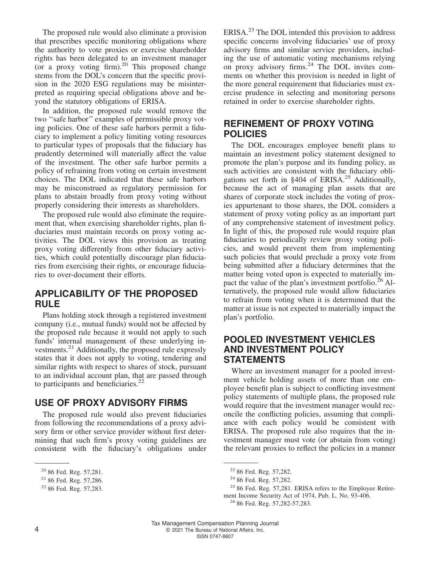The proposed rule would also eliminate a provision that prescribes specific monitoring obligations where the authority to vote proxies or exercise shareholder rights has been delegated to an investment manager (or a proxy voting firm).<sup>20</sup> This proposed change stems from the DOL's concern that the specific provision in the 2020 ESG regulations may be misinterpreted as requiring special obligations above and beyond the statutory obligations of ERISA.

In addition, the proposed rule would remove the two ''safe harbor'' examples of permissible proxy voting policies. One of these safe harbors permit a fiduciary to implement a policy limiting voting resources to particular types of proposals that the fiduciary has prudently determined will materially affect the value of the investment. The other safe harbor permits a policy of refraining from voting on certain investment choices. The DOL indicated that these safe harbors may be misconstrued as regulatory permission for plans to abstain broadly from proxy voting without properly considering their interests as shareholders.

The proposed rule would also eliminate the requirement that, when exercising shareholder rights, plan fiduciaries must maintain records on proxy voting activities. The DOL views this provision as treating proxy voting differently from other fiduciary activities, which could potentially discourage plan fiduciaries from exercising their rights, or encourage fiduciaries to over-document their efforts.

#### **APPLICABILITY OF THE PROPOSED RULE**

Plans holding stock through a registered investment company (i.e., mutual funds) would not be affected by the proposed rule because it would not apply to such funds' internal management of these underlying investments. $^{21}$  Additionally, the proposed rule expressly states that it does not apply to voting, tendering and similar rights with respect to shares of stock, pursuant to an individual account plan, that are passed through to participants and beneficiaries. $^{22}$ 

## **USE OF PROXY ADVISORY FIRMS**

The proposed rule would also prevent fiduciaries from following the recommendations of a proxy advisory firm or other service provider without first determining that such firm's proxy voting guidelines are consistent with the fiduciary's obligations under ERISA.<sup>23</sup> The DOL intended this provision to address specific concerns involving fiduciaries' use of proxy advisory firms and similar service providers, including the use of automatic voting mechanisms relying on proxy advisory firms.<sup>24</sup> The DOL invites comments on whether this provision is needed in light of the more general requirement that fiduciaries must exercise prudence in selecting and monitoring persons retained in order to exercise shareholder rights.

#### **REFINEMENT OF PROXY VOTING POLICIES**

The DOL encourages employee benefit plans to maintain an investment policy statement designed to promote the plan's purpose and its funding policy, as such activities are consistent with the fiduciary obligations set forth in §404 of ERISA.<sup>25</sup> Additionally, because the act of managing plan assets that are shares of corporate stock includes the voting of proxies appurtenant to those shares, the DOL considers a statement of proxy voting policy as an important part of any comprehensive statement of investment policy. In light of this, the proposed rule would require plan fiduciaries to periodically review proxy voting policies, and would prevent them from implementing such policies that would preclude a proxy vote from being submitted after a fiduciary determines that the matter being voted upon is expected to materially impact the value of the plan's investment portfolio.<sup>26</sup> Alternatively, the proposed rule would allow fiduciaries to refrain from voting when it is determined that the matter at issue is not expected to materially impact the plan's portfolio.

#### **POOLED INVESTMENT VEHICLES AND INVESTMENT POLICY STATEMENTS**

Where an investment manager for a pooled investment vehicle holding assets of more than one employee benefit plan is subject to conflicting investment policy statements of multiple plans, the proposed rule would require that the investment manager would reconcile the conflicting policies, assuming that compliance with each policy would be consistent with ERISA. The proposed rule also requires that the investment manager must vote (or abstain from voting) the relevant proxies to reflect the policies in a manner

<sup>20</sup> 86 Fed. Reg. 57,281.

<sup>21</sup> 86 Fed. Reg. 57,286.

<sup>22</sup> 86 Fed. Reg. 57,283.

<sup>23</sup> 86 Fed. Reg. 57,282.

<sup>24</sup> 86 Fed. Reg. 57,282.

<sup>&</sup>lt;sup>25</sup> 86 Fed. Reg. 57,281. ERISA refers to the Employee Retirement Income Security Act of 1974, Pub. L. No. 93-406.

<sup>26</sup> 86 Fed. Reg. 57,282-57,283.